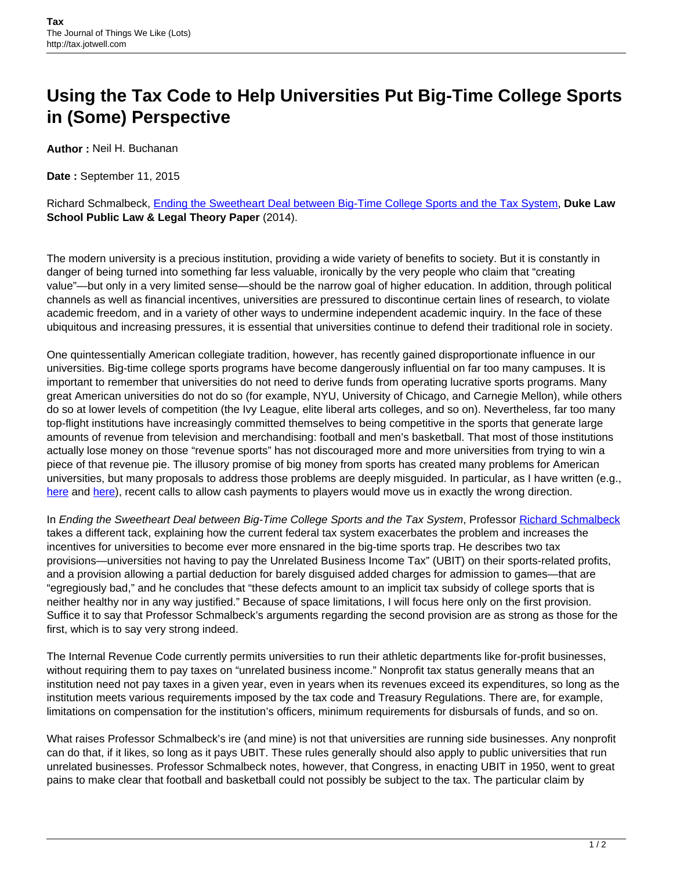## **Using the Tax Code to Help Universities Put Big-Time College Sports in (Some) Perspective**

**Author :** Neil H. Buchanan

**Date :** September 11, 2015

Richard Schmalbeck, [Ending the Sweetheart Deal between Big-Time College Sports and the Tax System,](http://scholarship.law.duke.edu/cgi/viewcontent.cgi?article=6115&context=faculty_scholarship) **Duke Law School Public Law & Legal Theory Paper** (2014).

The modern university is a precious institution, providing a wide variety of benefits to society. But it is constantly in danger of being turned into something far less valuable, ironically by the very people who claim that "creating value"—but only in a very limited sense—should be the narrow goal of higher education. In addition, through political channels as well as financial incentives, universities are pressured to discontinue certain lines of research, to violate academic freedom, and in a variety of other ways to undermine independent academic inquiry. In the face of these ubiquitous and increasing pressures, it is essential that universities continue to defend their traditional role in society.

One quintessentially American collegiate tradition, however, has recently gained disproportionate influence in our universities. Big-time college sports programs have become dangerously influential on far too many campuses. It is important to remember that universities do not need to derive funds from operating lucrative sports programs. Many great American universities do not do so (for example, NYU, University of Chicago, and Carnegie Mellon), while others do so at lower levels of competition (the Ivy League, elite liberal arts colleges, and so on). Nevertheless, far too many top-flight institutions have increasingly committed themselves to being competitive in the sports that generate large amounts of revenue from television and merchandising: football and men's basketball. That most of those institutions actually lose money on those "revenue sports" has not discouraged more and more universities from trying to win a piece of that revenue pie. The illusory promise of big money from sports has created many problems for American universities, but many proposals to address those problems are deeply misguided. In particular, as I have written (e.g., [here](https://verdict.justia.com/2014/08/28/one-wrong-answer-important-questions) and [here\)](https://verdict.justia.com/2014/08/28/one-wrong-answer-important-questions), recent calls to allow cash payments to players would move us in exactly the wrong direction.

In Ending the Sweetheart Deal between Big-Time College Sports and the Tax System, Professor [Richard Schmalbeck](https://law.duke.edu/fac/schmalbeck/) takes a different tack, explaining how the current federal tax system exacerbates the problem and increases the incentives for universities to become ever more ensnared in the big-time sports trap. He describes two tax provisions—universities not having to pay the Unrelated Business Income Tax" (UBIT) on their sports-related profits, and a provision allowing a partial deduction for barely disguised added charges for admission to games—that are "egregiously bad," and he concludes that "these defects amount to an implicit tax subsidy of college sports that is neither healthy nor in any way justified." Because of space limitations, I will focus here only on the first provision. Suffice it to say that Professor Schmalbeck's arguments regarding the second provision are as strong as those for the first, which is to say very strong indeed.

The Internal Revenue Code currently permits universities to run their athletic departments like for-profit businesses, without requiring them to pay taxes on "unrelated business income." Nonprofit tax status generally means that an institution need not pay taxes in a given year, even in years when its revenues exceed its expenditures, so long as the institution meets various requirements imposed by the tax code and Treasury Regulations. There are, for example, limitations on compensation for the institution's officers, minimum requirements for disbursals of funds, and so on.

What raises Professor Schmalbeck's ire (and mine) is not that universities are running side businesses. Any nonprofit can do that, if it likes, so long as it pays UBIT. These rules generally should also apply to public universities that run unrelated businesses. Professor Schmalbeck notes, however, that Congress, in enacting UBIT in 1950, went to great pains to make clear that football and basketball could not possibly be subject to the tax. The particular claim by